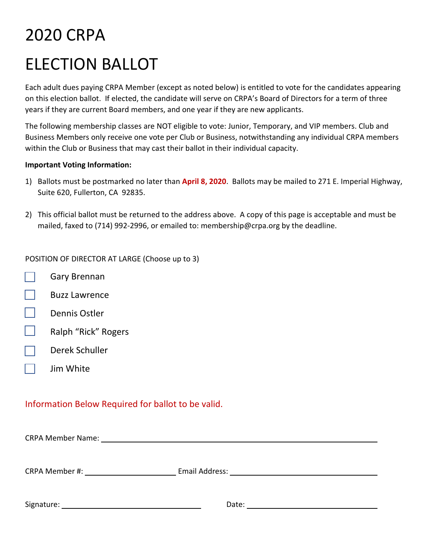# 2020 CRPA ELECTION BALLOT

Each adult dues paying CRPA Member (except as noted below) is entitled to vote for the candidates appearing on this election ballot. If elected, the candidate will serve on CRPA's Board of Directors for a term of three years if they are current Board members, and one year if they are new applicants.

The following membership classes are NOT eligible to vote: Junior, Temporary, and VIP members. Club and Business Members only receive one vote per Club or Business, notwithstanding any individual CRPA members within the Club or Business that may cast their ballot in their individual capacity.

### **Important Voting Information:**

- 1) Ballots must be postmarked no later than **April 8, 2020**. Ballots may be mailed to 271 E. Imperial Highway, Suite 620, Fullerton, CA 92835.
- 2) This official ballot must be returned to the address above. A copy of this page is acceptable and must be mailed, faxed to (714) 992-2996, or emailed to: [membership@crpa.org](mailto:membership@crpa.org) by the deadline.

POSITION OF DIRECTOR AT LARGE (Choose up to 3)

- $\vert \ \ \vert$ Gary Brennan
- $\Box$ Buzz Lawrence
- $\Box$ Dennis Ostler
- $\Box$ Ralph "Rick" Rogers
- $\Box$ Derek Schuller
- $\Box$ Jim White

## Information Below Required for ballot to be valid.

CRPA Member Name:

| <b>CRPA Member #:</b> | Email Address: |
|-----------------------|----------------|
|                       |                |

| Signature: |
|------------|
|            |